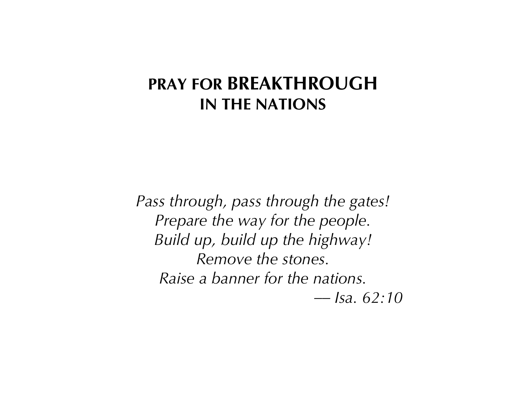## **PRAY FOR BREAKTHROUGH IN THE NATIONS**

*Pass through, pass through the gates! Prepare the way for the people. Build up, build up the highway! Remove the stones. Raise a banner for the nations. –– Isa. 62:10*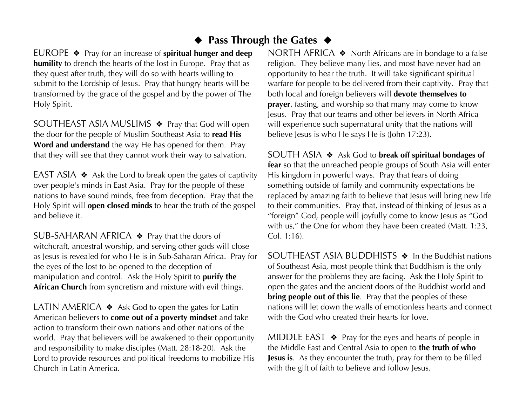## ◆ **Pass Through the Gates** ◆

EUROPE ❖ Pray for an increase of **spiritual hunger and deep humility** to drench the hearts of the lost in Europe. Pray that as they quest after truth, they will do so with hearts willing to submit to the Lordship of Jesus. Pray that hungry hearts will be transformed by the grace of the gospel and by the power of The Holy Spirit.

SOUTHEAST ASIA MUSLIMS ❖ Pray that God will open the door for the people of Muslim Southeast Asia to **read His Word and understand** the way He has opened for them. Pray that they will see that they cannot work their way to salvation.

EAST ASIA  $\triangleleft$  Ask the Lord to break open the gates of captivity over people's minds in East Asia. Pray for the people of these nations to have sound minds, free from deception. Pray that the Holy Spirit will **open closed minds** to hear the truth of the gospel and believe it.

SUB-SAHARAN AFRICA ❖ Pray that the doors of witchcraft, ancestral worship, and serving other gods will close as Jesus is revealed for who He is in Sub-Saharan Africa. Pray for the eyes of the lost to be opened to the deception of manipulation and control. Ask the Holy Spirit to **purify the African Church** from syncretism and mixture with evil things.

LATIN AMERICA  $\triangle$  Ask God to open the gates for Latin American believers to **come out of a poverty mindset** and take action to transform their own nations and other nations of the world. Pray that believers will be awakened to their opportunity and responsibility to make disciples (Matt. 28:18-20). Ask the Lord to provide resources and political freedoms to mobilize His Church in Latin America.

NORTH AFRICA ❖ North Africans are in bondage to a false religion. They believe many lies, and most have never had an opportunity to hear the truth. It will take significant spiritual warfare for people to be delivered from their captivity. Pray that both local and foreign believers will **devote themselves to prayer**, fasting, and worship so that many may come to know Jesus. Pray that our teams and other believers in North Africa will experience such supernatural unity that the nations will believe Jesus is who He says He is (John 17:23).

SOUTH ASIA ❖ Ask God to **break off spiritual bondages of fear** so that the unreached people groups of South Asia will enter His kingdom in powerful ways. Pray that fears of doing something outside of family and community expectations be replaced by amazing faith to believe that Jesus will bring new life to their communities. Pray that, instead of thinking of Jesus as a "foreign" God, people will joyfully come to know Jesus as "God with us," the One for whom they have been created (Matt. 1:23, Col. 1:16).

SOUTHEAST ASIA BUDDHISTS ❖ In the Buddhist nations of Southeast Asia, most people think that Buddhism is the only answer for the problems they are facing. Ask the Holy Spirit to open the gates and the ancient doors of the Buddhist world and **bring people out of this lie**. Pray that the peoples of these nations will let down the walls of emotionless hearts and connect with the God who created their hearts for love.

MIDDLE EAST  $\triangleleft$  Pray for the eyes and hearts of people in the Middle East and Central Asia to open to **the truth of who Jesus is**. As they encounter the truth, pray for them to be filled with the gift of faith to believe and follow Jesus.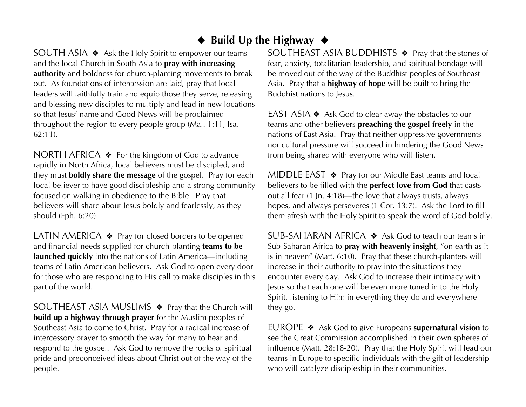## ◆ **Build Up the Highway** ◆

SOUTH ASIA ❖ Ask the Holy Spirit to empower our teams and the local Church in South Asia to **pray with increasing authority** and boldness for church-planting movements to break out. As foundations of intercession are laid, pray that local leaders will faithfully train and equip those they serve, releasing and blessing new disciples to multiply and lead in new locations so that Jesus' name and Good News will be proclaimed throughout the region to every people group (Mal. 1:11, Isa. 62:11).

NORTH AFRICA ❖ For the kingdom of God to advance rapidly in North Africa, local believers must be discipled, and they must **boldly share the message** of the gospel. Pray for each local believer to have good discipleship and a strong community focused on walking in obedience to the Bible. Pray that believers will share about Jesus boldly and fearlessly, as they should (Eph. 6:20).

LATIN AMERICA  $\triangle$  Pray for closed borders to be opened and financial needs supplied for church-planting **teams to be launched quickly** into the nations of Latin America—including teams of Latin American believers. Ask God to open every door for those who are responding to His call to make disciples in this part of the world.

SOUTHEAST ASIA MUSLIMS ❖ Pray that the Church will **build up a highway through prayer** for the Muslim peoples of Southeast Asia to come to Christ. Pray for a radical increase of intercessory prayer to smooth the way for many to hear and respond to the gospel. Ask God to remove the rocks of spiritual pride and preconceived ideas about Christ out of the way of the people.

SOUTHEAST ASIA BUDDHISTS ❖ Pray that the stones of fear, anxiety, totalitarian leadership, and spiritual bondage will be moved out of the way of the Buddhist peoples of Southeast Asia. Pray that a **highway of hope** will be built to bring the Buddhist nations to Jesus.

EAST ASIA ❖ Ask God to clear away the obstacles to our teams and other believers **preaching the gospel freely** in the nations of East Asia. Pray that neither oppressive governments nor cultural pressure will succeed in hindering the Good News from being shared with everyone who will listen.

MIDDLE EAST ❖ Pray for our Middle East teams and local believers to be filled with the **perfect love from God** that casts out all fear (1 Jn. 4:18)—the love that always trusts, always hopes, and always perseveres (1 Cor. 13:7). Ask the Lord to fill them afresh with the Holy Spirit to speak the word of God boldly.

SUB-SAHARAN AFRICA ❖ Ask God to teach our teams in Sub-Saharan Africa to **pray with heavenly insight**, "on earth as it is in heaven" (Matt. 6:10). Pray that these church-planters will increase in their authority to pray into the situations they encounter every day. Ask God to increase their intimacy with Jesus so that each one will be even more tuned in to the Holy Spirit, listening to Him in everything they do and everywhere they go.

EUROPE ❖ Ask God to give Europeans **supernatural vision** to see the Great Commission accomplished in their own spheres of influence (Matt. 28:18-20). Pray that the Holy Spirit will lead our teams in Europe to specific individuals with the gift of leadership who will catalyze discipleship in their communities.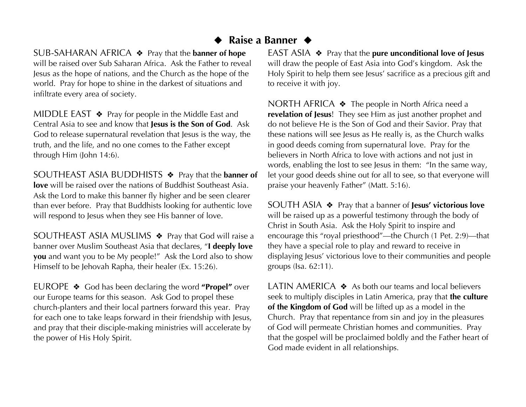## ◆ **Raise a Banner** ◆

SUB-SAHARAN AFRICA ❖ Pray that the **banner of hope** will be raised over Sub Saharan Africa. Ask the Father to reveal Jesus as the hope of nations, and the Church as the hope of the world. Pray for hope to shine in the darkest of situations and infiltrate every area of society.

MIDDLE EAST  $\triangleleft$  Pray for people in the Middle East and Central Asia to see and know that **Jesus is the Son of God**. Ask God to release supernatural revelation that Jesus is the way, the truth, and the life, and no one comes to the Father except through Him (John 14:6).

SOUTHEAST ASIA BUDDHISTS ❖ Pray that the **banner of love** will be raised over the nations of Buddhist Southeast Asia. Ask the Lord to make this banner fly higher and be seen clearer than ever before. Pray that Buddhists looking for authentic love will respond to Jesus when they see His banner of love.

SOUTHEAST ASIA MUSLIMS ♦ Pray that God will raise a banner over Muslim Southeast Asia that declares, "**I deeply love you** and want you to be My people!" Ask the Lord also to show Himself to be Jehovah Rapha, their healer (Ex. 15:26).

EUROPE ❖ God has been declaring the word **"Propel"** over our Europe teams for this season. Ask God to propel these church-planters and their local partners forward this year. Pray for each one to take leaps forward in their friendship with Jesus, and pray that their disciple-making ministries will accelerate by the power of His Holy Spirit.

EAST ASIA ❖ Pray that the **pure unconditional love of Jesus** will draw the people of East Asia into God's kingdom. Ask the Holy Spirit to help them see Jesus' sacrifice as a precious gift and to receive it with joy.

NORTH AFRICA ❖ The people in North Africa need a **revelation of Jesus**! They see Him as just another prophet and do not believe He is the Son of God and their Savior. Pray that these nations will see Jesus as He really is, as the Church walks in good deeds coming from supernatural love. Pray for the believers in North Africa to love with actions and not just in words, enabling the lost to see Jesus in them: "In the same way, let your good deeds shine out for all to see, so that everyone will praise your heavenly Father" (Matt. 5:16).

SOUTH ASIA ❖ Pray that a banner of **Jesus' victorious love** will be raised up as a powerful testimony through the body of Christ in South Asia. Ask the Holy Spirit to inspire and encourage this "royal priesthood"—the Church (1 Pet. 2:9)—that they have a special role to play and reward to receive in displaying Jesus' victorious love to their communities and people groups (Isa. 62:11).

LATIN AMERICA ❖ As both our teams and local believers seek to multiply disciples in Latin America, pray that **the culture of the Kingdom of God** will be lifted up as a model in the Church. Pray that repentance from sin and joy in the pleasures of God will permeate Christian homes and communities. Pray that the gospel will be proclaimed boldly and the Father heart of God made evident in all relationships.